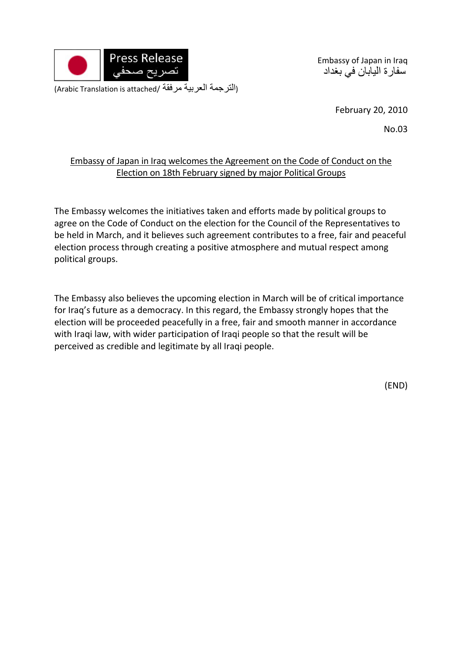

Embassy of Japan in Iraq سفارة اليابان في بغداد

(Arabic Translation is attached/ مرفقة العربية الترجمة(

February 20, 2010

No.03

## Embassy of Japan in Iraq welcomes the Agreement on the Code of Conduct on the Election on 18th February signed by major Political Groups

The Embassy welcomes the initiatives taken and efforts made by political groups to agree on the Code of Conduct on the election for the Council of the Representatives to be held in March, and it believes such agreement contributes to a free, fair and peaceful election process through creating a positive atmosphere and mutual respect among political groups.

The Embassy also believes the upcoming election in March will be of critical importance for Iraq's future as a democracy. In this regard, the Embassy strongly hopes that the election will be proceeded peacefully in a free, fair and smooth manner in accordance with Iraqi law, with wider participation of Iraqi people so that the result will be perceived as credible and legitimate by all Iraqi people.

(END)